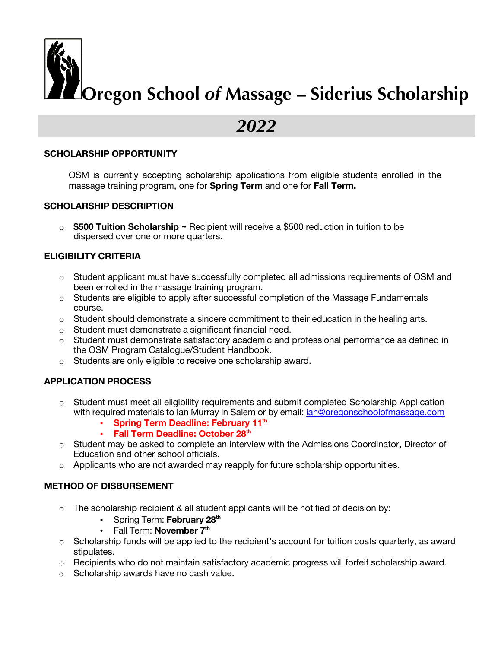

# *2022*

# **SCHOLARSHIP OPPORTUNITY**

OSM is currently accepting scholarship applications from eligible students enrolled in the massage training program, one for **Spring Term** and one for **Fall Term.**

#### **SCHOLARSHIP DESCRIPTION**

o **\$500 Tuition Scholarship ~** Recipient will receive a \$500 reduction in tuition to be dispersed over one or more quarters.

# **ELIGIBILITY CRITERIA**

- o Student applicant must have successfully completed all admissions requirements of OSM and been enrolled in the massage training program.
- $\circ$  Students are eligible to apply after successful completion of the Massage Fundamentals course.
- $\circ$  Student should demonstrate a sincere commitment to their education in the healing arts.
- o Student must demonstrate a significant financial need.
- $\circ$  Student must demonstrate satisfactory academic and professional performance as defined in the OSM Program Catalogue/Student Handbook.
- o Students are only eligible to receive one scholarship award.

# **APPLICATION PROCESS**

- $\circ$  Student must meet all eligibility requirements and submit completed Scholarship Application with required materials to Ian Murray in Salem or by email: ian@oregonschoolofmassage.com
	- **Spring Term Deadline: February 11th**
	- **Fall Term Deadline: October 28th**
- o Student may be asked to complete an interview with the Admissions Coordinator, Director of Education and other school officials.
- $\circ$  Applicants who are not awarded may reapply for future scholarship opportunities.

# **METHOD OF DISBURSEMENT**

- o The scholarship recipient & all student applicants will be notified of decision by:
	- Spring Term: **February 28th**
	- Fall Term: **November 7<sup>th</sup>**
- $\circ$  Scholarship funds will be applied to the recipient's account for tuition costs quarterly, as award stipulates.
- o Recipients who do not maintain satisfactory academic progress will forfeit scholarship award.
- o Scholarship awards have no cash value.